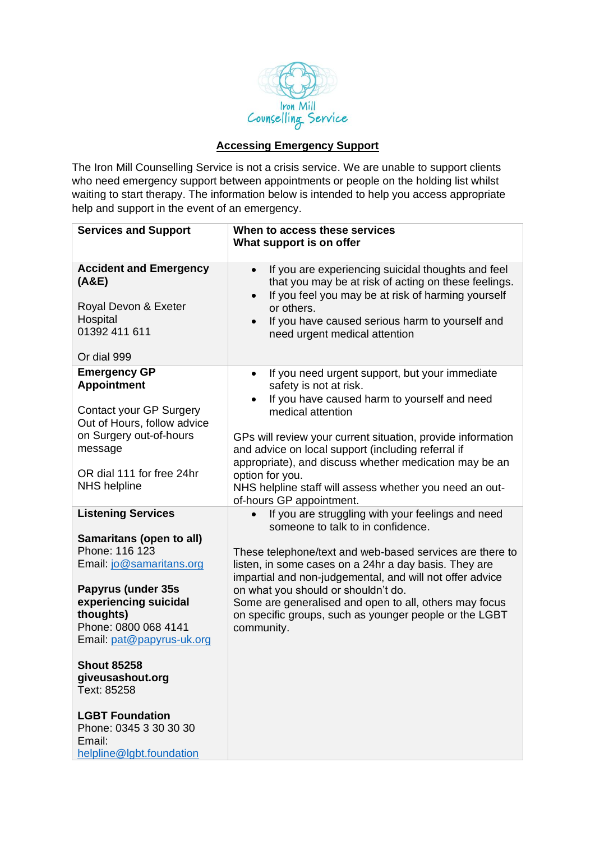

## **Accessing Emergency Support**

The Iron Mill Counselling Service is not a crisis service. We are unable to support clients who need emergency support between appointments or people on the holding list whilst waiting to start therapy. The information below is intended to help you access appropriate help and support in the event of an emergency.

| <b>Services and Support</b>                                                            | When to access these services<br>What support is on offer                                                                                                                                   |
|----------------------------------------------------------------------------------------|---------------------------------------------------------------------------------------------------------------------------------------------------------------------------------------------|
| <b>Accident and Emergency</b><br>(A&E)<br>Royal Devon & Exeter                         | If you are experiencing suicidal thoughts and feel<br>that you may be at risk of acting on these feelings.<br>If you feel you may be at risk of harming yourself<br>$\bullet$<br>or others. |
| Hospital<br>01392 411 611<br>Or dial 999                                               | If you have caused serious harm to yourself and<br>$\bullet$<br>need urgent medical attention                                                                                               |
|                                                                                        |                                                                                                                                                                                             |
| <b>Emergency GP</b><br><b>Appointment</b>                                              | If you need urgent support, but your immediate<br>$\bullet$<br>safety is not at risk.                                                                                                       |
| Contact your GP Surgery<br>Out of Hours, follow advice                                 | If you have caused harm to yourself and need<br>medical attention                                                                                                                           |
| on Surgery out-of-hours<br>message                                                     | GPs will review your current situation, provide information<br>and advice on local support (including referral if<br>appropriate), and discuss whether medication may be an                 |
| OR dial 111 for free 24hr<br><b>NHS</b> helpline                                       | option for you.<br>NHS helpline staff will assess whether you need an out-<br>of-hours GP appointment.                                                                                      |
| <b>Listening Services</b>                                                              | If you are struggling with your feelings and need<br>someone to talk to in confidence.                                                                                                      |
| Samaritans (open to all)                                                               |                                                                                                                                                                                             |
| Phone: 116 123<br>Email: jo@samaritans.org                                             | These telephone/text and web-based services are there to<br>listen, in some cases on a 24hr a day basis. They are<br>impartial and non-judgemental, and will not offer advice               |
| Papyrus (under 35s                                                                     | on what you should or shouldn't do.                                                                                                                                                         |
| experiencing suicidal                                                                  | Some are generalised and open to all, others may focus                                                                                                                                      |
| thoughts)<br>Phone: 0800 068 4141                                                      | on specific groups, such as younger people or the LGBT<br>community.                                                                                                                        |
| Email: pat@papyrus-uk.org                                                              |                                                                                                                                                                                             |
| <b>Shout 85258</b><br>giveusashout.org<br>Text: 85258                                  |                                                                                                                                                                                             |
| <b>LGBT Foundation</b><br>Phone: 0345 3 30 30 30<br>Email:<br>helpline@lgbt.foundation |                                                                                                                                                                                             |